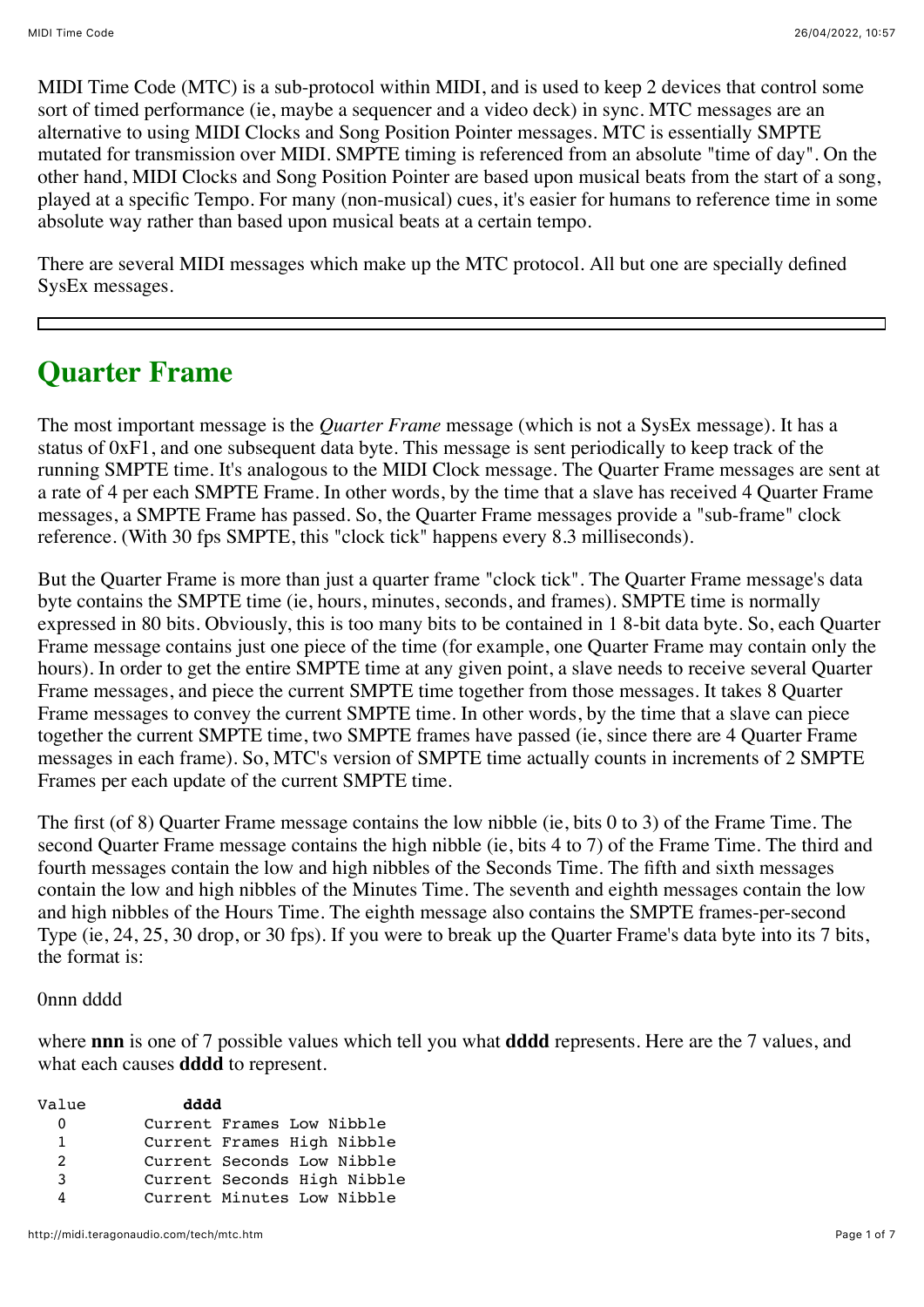MIDI Time Code (MTC) is a sub-protocol within MIDI, and is used to keep 2 devices that control some sort of timed performance (ie, maybe a sequencer and a video deck) in sync. MTC messages are an alternative to using MIDI Clocks and Song Position Pointer messages. MTC is essentially SMPTE mutated for transmission over MIDI. SMPTE timing is referenced from an absolute "time of day". On the other hand, MIDI Clocks and Song Position Pointer are based upon musical beats from the start of a song, played at a specific Tempo. For many (non-musical) cues, it's easier for humans to reference time in some absolute way rather than based upon musical beats at a certain tempo.

There are several MIDI messages which make up the MTC protocol. All but one are specially defined SysEx messages.

# **Quarter Frame**

The most important message is the *Quarter Frame* message (which is not a SysEx message). It has a status of 0xF1, and one subsequent data byte. This message is sent periodically to keep track of the running SMPTE time. It's analogous to the MIDI Clock message. The Quarter Frame messages are sent at a rate of 4 per each SMPTE Frame. In other words, by the time that a slave has received 4 Quarter Frame messages, a SMPTE Frame has passed. So, the Quarter Frame messages provide a "sub-frame" clock reference. (With 30 fps SMPTE, this "clock tick" happens every 8.3 milliseconds).

But the Quarter Frame is more than just a quarter frame "clock tick". The Quarter Frame message's data byte contains the SMPTE time (ie, hours, minutes, seconds, and frames). SMPTE time is normally expressed in 80 bits. Obviously, this is too many bits to be contained in 1 8-bit data byte. So, each Quarter Frame message contains just one piece of the time (for example, one Quarter Frame may contain only the hours). In order to get the entire SMPTE time at any given point, a slave needs to receive several Quarter Frame messages, and piece the current SMPTE time together from those messages. It takes 8 Quarter Frame messages to convey the current SMPTE time. In other words, by the time that a slave can piece together the current SMPTE time, two SMPTE frames have passed (ie, since there are 4 Quarter Frame messages in each frame). So, MTC's version of SMPTE time actually counts in increments of 2 SMPTE Frames per each update of the current SMPTE time.

The first (of 8) Quarter Frame message contains the low nibble (ie, bits 0 to 3) of the Frame Time. The second Quarter Frame message contains the high nibble (ie, bits 4 to 7) of the Frame Time. The third and fourth messages contain the low and high nibbles of the Seconds Time. The fifth and sixth messages contain the low and high nibbles of the Minutes Time. The seventh and eighth messages contain the low and high nibbles of the Hours Time. The eighth message also contains the SMPTE frames-per-second Type (ie, 24, 25, 30 drop, or 30 fps). If you were to break up the Quarter Frame's data byte into its 7 bits, the format is:

#### 0nnn dddd

where **nnn** is one of 7 possible values which tell you what **dddd** represents. Here are the 7 values, and what each causes **dddd** to represent.

| Value        | dddd                        |
|--------------|-----------------------------|
| 0            | Current Frames Low Nibble   |
| $\mathbf{1}$ | Current Frames High Nibble  |
| 2            | Current Seconds Low Nibble  |
| 3            | Current Seconds High Nibble |
| 4            | Current Minutes Low Nibble  |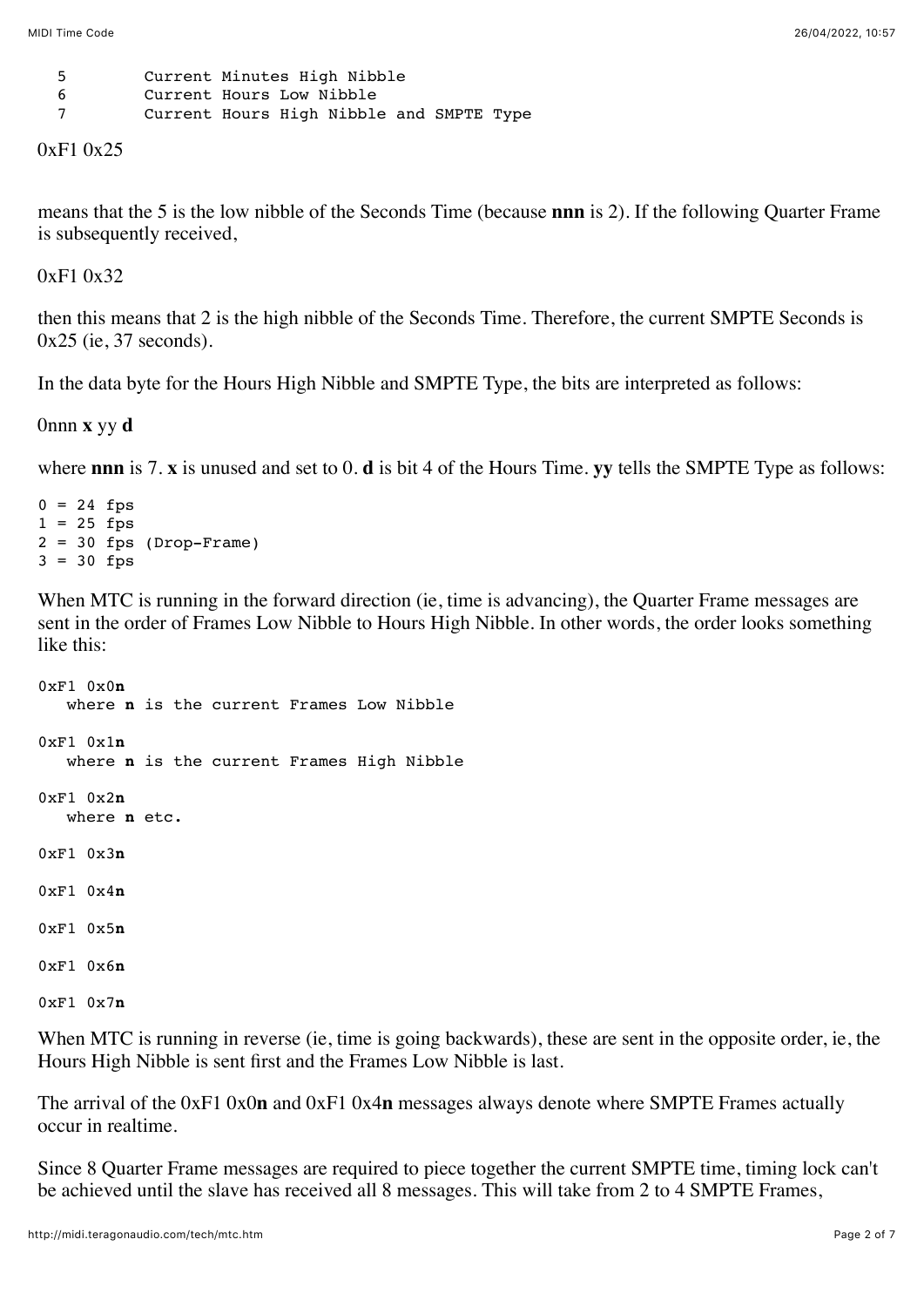| - 5 | Current Minutes High Nibble              |
|-----|------------------------------------------|
| -6  | Current Hours Low Nibble                 |
|     | Current Hours High Nibble and SMPTE Type |

0xF1 0x25

means that the 5 is the low nibble of the Seconds Time (because **nnn** is 2). If the following Quarter Frame is subsequently received,

0xF1 0x32

then this means that 2 is the high nibble of the Seconds Time. Therefore, the current SMPTE Seconds is 0x25 (ie, 37 seconds).

In the data byte for the Hours High Nibble and SMPTE Type, the bits are interpreted as follows:

0nnn **x** yy **d**

where **nnn** is 7. **x** is unused and set to 0. **d** is bit 4 of the Hours Time. **yy** tells the SMPTE Type as follows:

 $0 = 24$  fps  $1 = 25$  fps  $2 = 30$  fps (Drop-Frame)  $3 = 30$  fps

When MTC is running in the forward direction (ie, time is advancing), the Quarter Frame messages are sent in the order of Frames Low Nibble to Hours High Nibble. In other words, the order looks something like this:

```
0xF1 0x0n
   where n is the current Frames Low Nibble
0xF1 0x1n
   where n is the current Frames High Nibble
0xF1 0x2n
   where n etc.
0xF1 0x3n
0xF1 0x4n
0xF1 0x5n
0xF1 0x6n
0xF1 0x7n
```
When MTC is running in reverse (ie, time is going backwards), these are sent in the opposite order, ie, the Hours High Nibble is sent first and the Frames Low Nibble is last.

The arrival of the 0xF1 0x0**n** and 0xF1 0x4**n** messages always denote where SMPTE Frames actually occur in realtime.

Since 8 Quarter Frame messages are required to piece together the current SMPTE time, timing lock can't be achieved until the slave has received all 8 messages. This will take from 2 to 4 SMPTE Frames,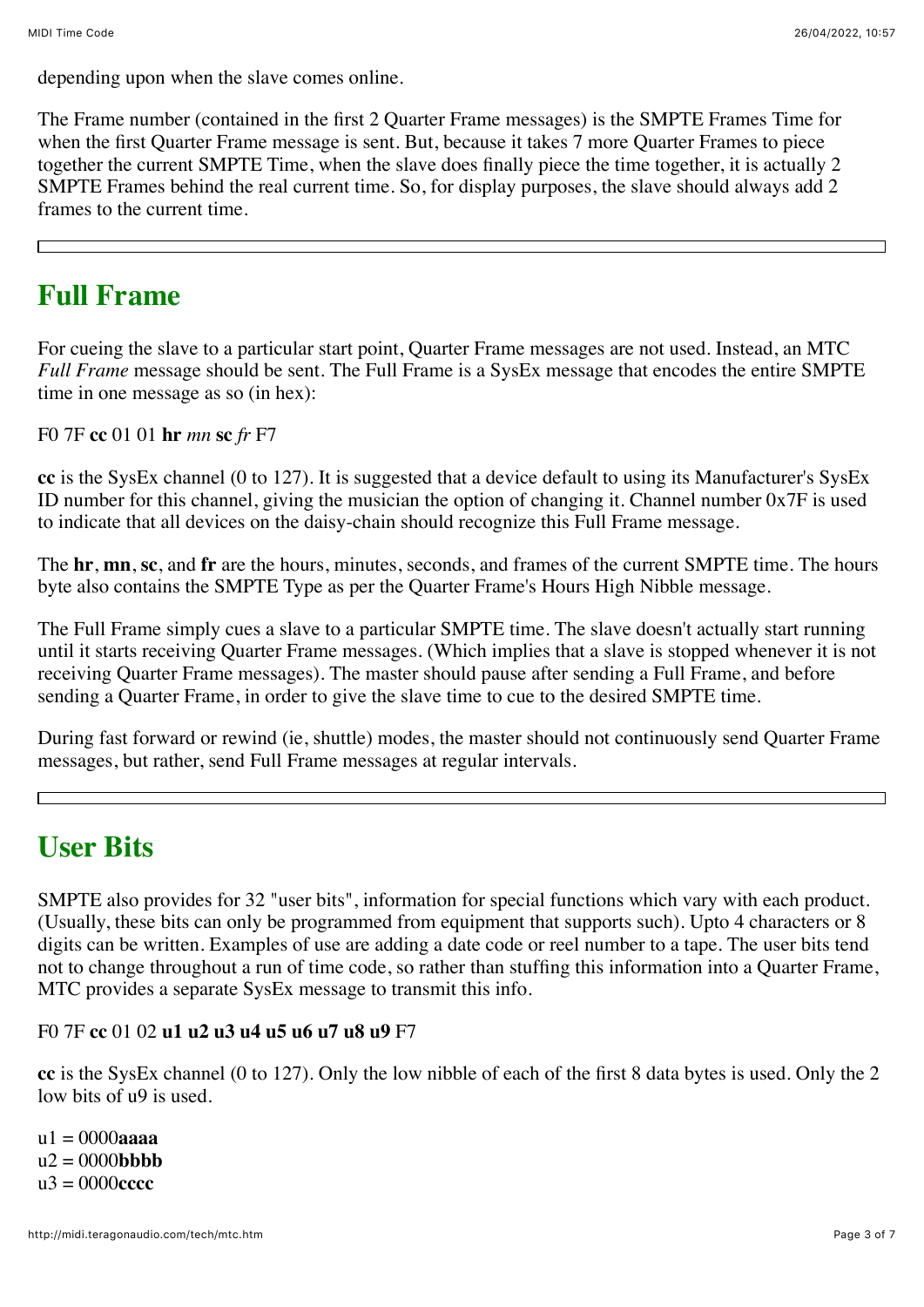depending upon when the slave comes online.

The Frame number (contained in the first 2 Quarter Frame messages) is the SMPTE Frames Time for when the first Quarter Frame message is sent. But, because it takes 7 more Quarter Frames to piece together the current SMPTE Time, when the slave does finally piece the time together, it is actually 2 SMPTE Frames behind the real current time. So, for display purposes, the slave should always add 2 frames to the current time.

## **Full Frame**

For cueing the slave to a particular start point, Quarter Frame messages are not used. Instead, an MTC *Full Frame* message should be sent. The Full Frame is a SysEx message that encodes the entire SMPTE time in one message as so (in hex):

F0 7F **cc** 01 01 **hr** *mn* **sc** *fr* F7

**cc** is the SysEx channel (0 to 127). It is suggested that a device default to using its Manufacturer's SysEx ID number for this channel, giving the musician the option of changing it. Channel number 0x7F is used to indicate that all devices on the daisy-chain should recognize this Full Frame message.

The **hr**, **mn**, **sc**, and **fr** are the hours, minutes, seconds, and frames of the current SMPTE time. The hours byte also contains the SMPTE Type as per the Quarter Frame's Hours High Nibble message.

The Full Frame simply cues a slave to a particular SMPTE time. The slave doesn't actually start running until it starts receiving Quarter Frame messages. (Which implies that a slave is stopped whenever it is not receiving Quarter Frame messages). The master should pause after sending a Full Frame, and before sending a Quarter Frame, in order to give the slave time to cue to the desired SMPTE time.

During fast forward or rewind (ie, shuttle) modes, the master should not continuously send Quarter Frame messages, but rather, send Full Frame messages at regular intervals.

# **User Bits**

SMPTE also provides for 32 "user bits", information for special functions which vary with each product. (Usually, these bits can only be programmed from equipment that supports such). Upto 4 characters or 8 digits can be written. Examples of use are adding a date code or reel number to a tape. The user bits tend not to change throughout a run of time code, so rather than stuffing this information into a Quarter Frame, MTC provides a separate SysEx message to transmit this info.

### F0 7F **cc** 01 02 **u1 u2 u3 u4 u5 u6 u7 u8 u9** F7

**cc** is the SysEx channel (0 to 127). Only the low nibble of each of the first 8 data bytes is used. Only the 2 low bits of u9 is used.

u1 = 0000**aaaa**  $u2 = 0000$ **bbbb**  $u^3 = 0000$ **cccc**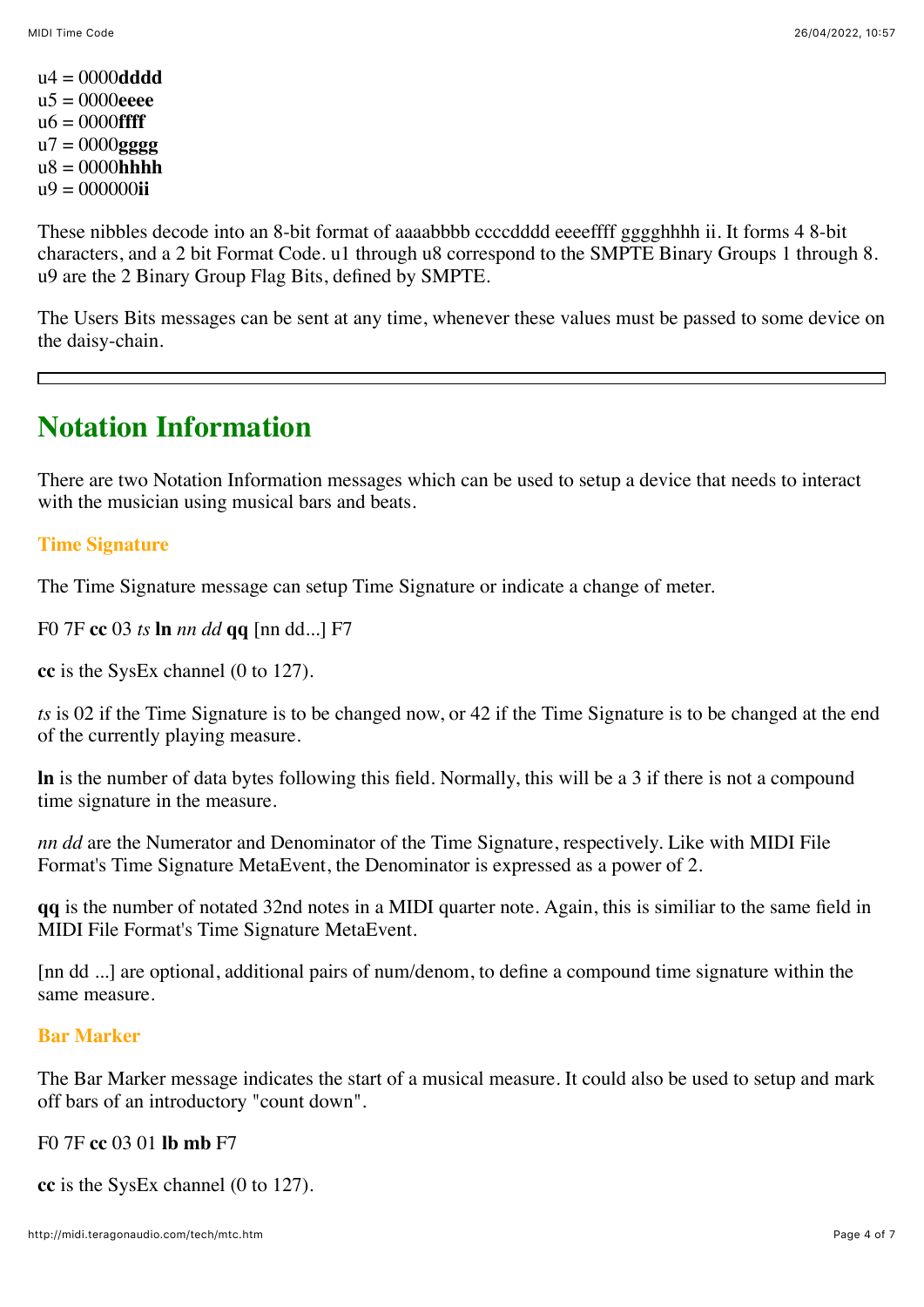u4 = 0000**dddd** u5 = 0000**eeee** u6 = 0000**ffff** u7 = 0000**gggg** u8 = 0000**hhhh** u9 = 000000**ii**

These nibbles decode into an 8-bit format of aaaabbbb ccccdddd eeeeffff gggghhhh ii. It forms 4 8-bit characters, and a 2 bit Format Code. u1 through u8 correspond to the SMPTE Binary Groups 1 through 8. u9 are the 2 Binary Group Flag Bits, defined by SMPTE.

The Users Bits messages can be sent at any time, whenever these values must be passed to some device on the daisy-chain.

# **Notation Information**

There are two Notation Information messages which can be used to setup a device that needs to interact with the musician using musical bars and beats.

### **Time Signature**

The Time Signature message can setup Time Signature or indicate a change of meter.

F0 7F **cc** 03 *ts* **ln** *nn dd* **qq** [nn dd...] F7

**cc** is the SysEx channel (0 to 127).

*ts* is 02 if the Time Signature is to be changed now, or 42 if the Time Signature is to be changed at the end of the currently playing measure.

**ln** is the number of data bytes following this field. Normally, this will be a 3 if there is not a compound time signature in the measure.

*nn dd* are the Numerator and Denominator of the Time Signature, respectively. Like with MIDI File Format's Time Signature MetaEvent, the Denominator is expressed as a power of 2.

**qq** is the number of notated 32nd notes in a MIDI quarter note. Again, this is similiar to the same field in MIDI File Format's Time Signature MetaEvent.

[nn dd ...] are optional, additional pairs of num/denom, to define a compound time signature within the same measure.

#### **Bar Marker**

The Bar Marker message indicates the start of a musical measure. It could also be used to setup and mark off bars of an introductory "count down".

#### F0 7F **cc** 03 01 **lb mb** F7

**cc** is the SysEx channel (0 to 127).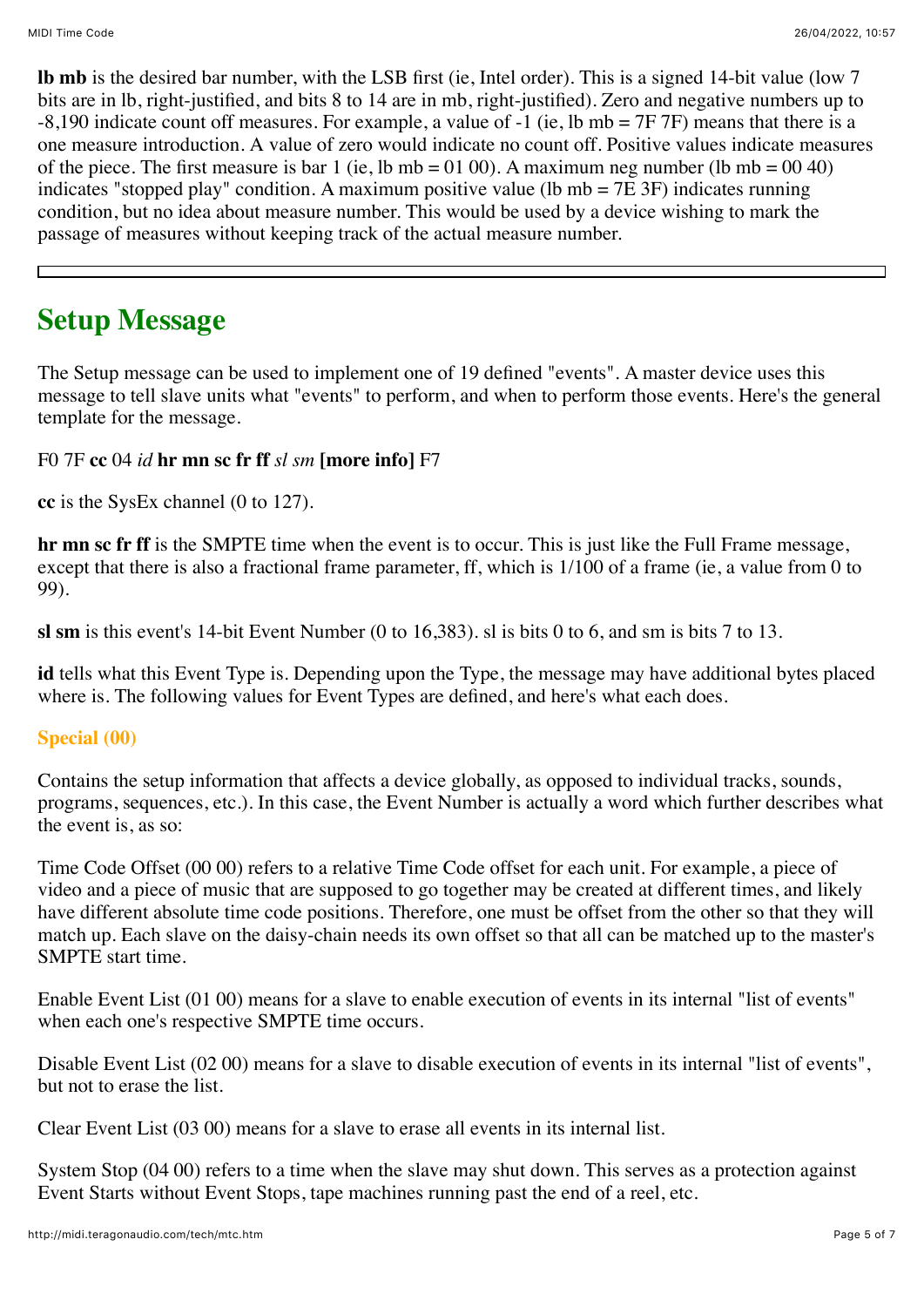**lb mb** is the desired bar number, with the LSB first (ie, Intel order). This is a signed 14-bit value (low 7 bits are in lb, right-justified, and bits 8 to 14 are in mb, right-justified). Zero and negative numbers up to  $-8,190$  indicate count off measures. For example, a value of  $-1$  (ie, lb mb = 7F 7F) means that there is a one measure introduction. A value of zero would indicate no count off. Positive values indicate measures of the piece. The first measure is bar 1 (ie, lb mb = 01 00). A maximum neg number (lb mb =  $00\,40$ ) indicates "stopped play" condition. A maximum positive value (1b mb =  $7E$  3F) indicates running condition, but no idea about measure number. This would be used by a device wishing to mark the passage of measures without keeping track of the actual measure number.

# **Setup Message**

The Setup message can be used to implement one of 19 defined "events". A master device uses this message to tell slave units what "events" to perform, and when to perform those events. Here's the general template for the message.

F0 7F **cc** 04 *id* **hr mn sc fr ff** *sl sm* **[more info]** F7

**cc** is the SysEx channel (0 to 127).

**hr mn sc fr ff** is the SMPTE time when the event is to occur. This is just like the Full Frame message, except that there is also a fractional frame parameter, ff, which is 1/100 of a frame (ie, a value from 0 to 99).

**sl sm** is this event's 14-bit Event Number (0 to 16,383). sl is bits 0 to 6, and sm is bits 7 to 13.

**id** tells what this Event Type is. Depending upon the Type, the message may have additional bytes placed where is. The following values for Event Types are defined, and here's what each does.

### **Special (00)**

Contains the setup information that affects a device globally, as opposed to individual tracks, sounds, programs, sequences, etc.). In this case, the Event Number is actually a word which further describes what the event is, as so:

Time Code Offset (00 00) refers to a relative Time Code offset for each unit. For example, a piece of video and a piece of music that are supposed to go together may be created at different times, and likely have different absolute time code positions. Therefore, one must be offset from the other so that they will match up. Each slave on the daisy-chain needs its own offset so that all can be matched up to the master's SMPTE start time.

Enable Event List (01 00) means for a slave to enable execution of events in its internal "list of events" when each one's respective SMPTE time occurs.

Disable Event List (02 00) means for a slave to disable execution of events in its internal "list of events", but not to erase the list.

Clear Event List (03 00) means for a slave to erase all events in its internal list.

System Stop (04 00) refers to a time when the slave may shut down. This serves as a protection against Event Starts without Event Stops, tape machines running past the end of a reel, etc.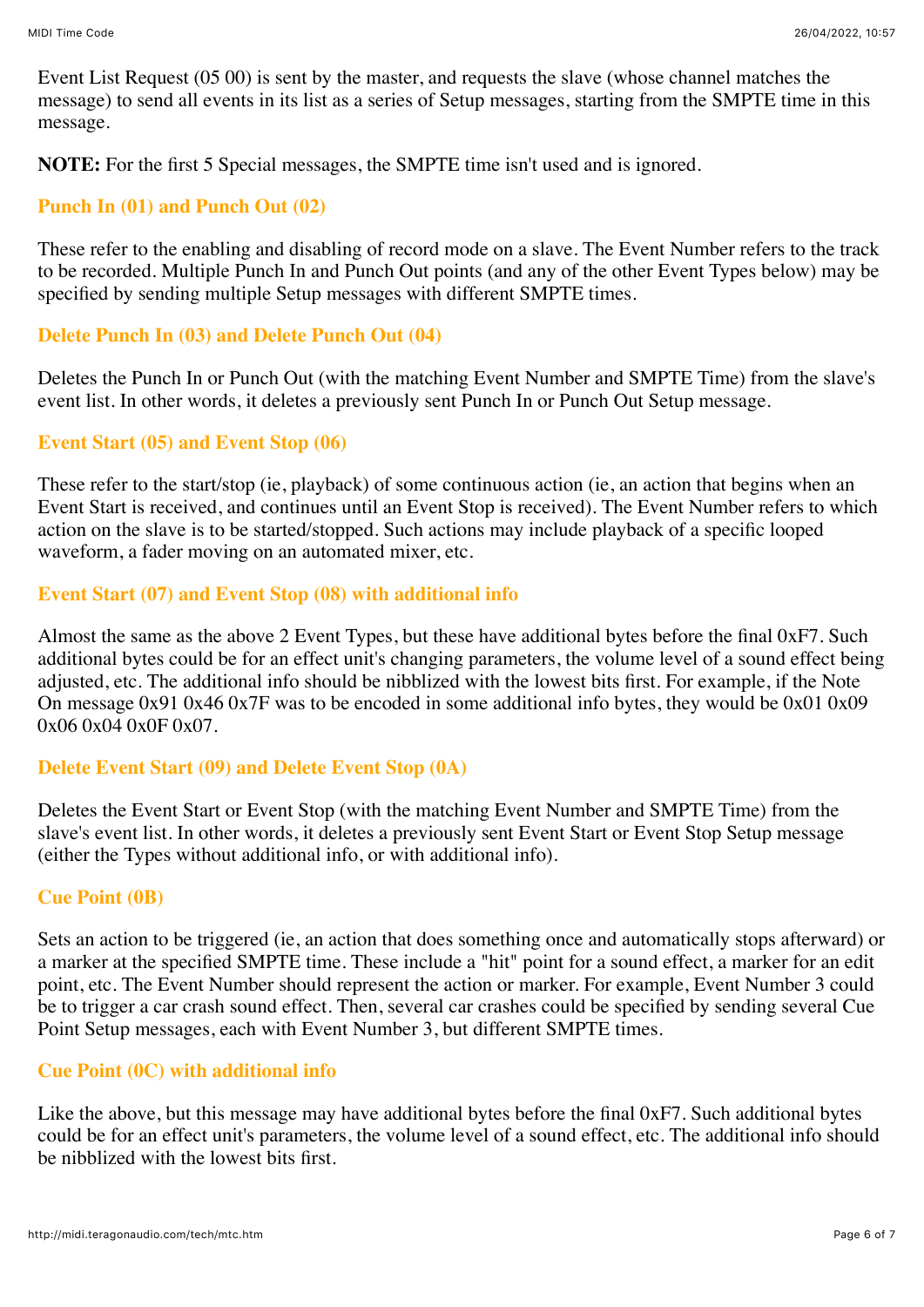Event List Request (05 00) is sent by the master, and requests the slave (whose channel matches the message) to send all events in its list as a series of Setup messages, starting from the SMPTE time in this message.

**NOTE:** For the first 5 Special messages, the SMPTE time isn't used and is ignored.

#### **Punch In (01) and Punch Out (02)**

These refer to the enabling and disabling of record mode on a slave. The Event Number refers to the track to be recorded. Multiple Punch In and Punch Out points (and any of the other Event Types below) may be specified by sending multiple Setup messages with different SMPTE times.

#### **Delete Punch In (03) and Delete Punch Out (04)**

Deletes the Punch In or Punch Out (with the matching Event Number and SMPTE Time) from the slave's event list. In other words, it deletes a previously sent Punch In or Punch Out Setup message.

#### **Event Start (05) and Event Stop (06)**

These refer to the start/stop (ie, playback) of some continuous action (ie, an action that begins when an Event Start is received, and continues until an Event Stop is received). The Event Number refers to which action on the slave is to be started/stopped. Such actions may include playback of a specific looped waveform, a fader moving on an automated mixer, etc.

#### **Event Start (07) and Event Stop (08) with additional info**

Almost the same as the above 2 Event Types, but these have additional bytes before the final 0xF7. Such additional bytes could be for an effect unit's changing parameters, the volume level of a sound effect being adjusted, etc. The additional info should be nibblized with the lowest bits first. For example, if the Note On message 0x91 0x46 0x7F was to be encoded in some additional info bytes, they would be 0x01 0x09 0x06 0x04 0x0F 0x07.

#### **Delete Event Start (09) and Delete Event Stop (0A)**

Deletes the Event Start or Event Stop (with the matching Event Number and SMPTE Time) from the slave's event list. In other words, it deletes a previously sent Event Start or Event Stop Setup message (either the Types without additional info, or with additional info).

#### **Cue Point (0B)**

Sets an action to be triggered (ie, an action that does something once and automatically stops afterward) or a marker at the specified SMPTE time. These include a "hit" point for a sound effect, a marker for an edit point, etc. The Event Number should represent the action or marker. For example, Event Number 3 could be to trigger a car crash sound effect. Then, several car crashes could be specified by sending several Cue Point Setup messages, each with Event Number 3, but different SMPTE times.

### **Cue Point (0C) with additional info**

Like the above, but this message may have additional bytes before the final 0xF7. Such additional bytes could be for an effect unit's parameters, the volume level of a sound effect, etc. The additional info should be nibblized with the lowest bits first.